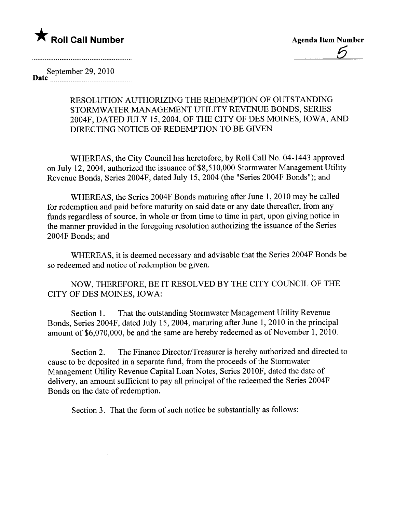

September 29,2010 Date \_ \_\_ \_ \_\_\_\_\_ \_\_\_\_\_\_\_. \_\_\_ \_\_\_\_\_\_\_ \_ \_\_ \_ \_\_\_\_\_\_ \_\_ \_ \_ no

## RESOLUTION AUTHORIZING THE REDEMPTION OF OUTSTANDING STORMWATER MANAGEMENT UTILITY REVENUE BONDS, SERIES 2004F, DATED JULY 15,2004, OF THE CITY OF DES MOINES, IOWA, AND DIRECTING NOTICE OF REDEMPTION TO BE GIVEN

WHEREAS, the City Council has heretofore, by Roll Call No. 04-1443 approved on July 12, 2004, authorized the issuance of \$8,510,000 Stormwater Management Utility Revenue Bonds, Series 2004F, dated July 15,2004 (the "Series 2004F Bonds"); and

WHEREAS, the Series 2004F Bonds maturing after June 1,2010 may be called for redemption and paid before maturity on said date or any date thereafter, from any funds regardless of source, in whole or from time to time in part, upon giving notice in the manner provided in the foregoing resolution authorizing the issuance of the Series 2004F Bonds; and

WHEREAS, it is deemed necessary and advisable that the Series 2004F Bonds be so redeemed and notice of redemption be given.

NOW, THEREFORE, BE IT RESOLVED BY THE CITY COUNCIL OF THE CITY OF DES MOINES, IOWA:

Section 1. That the outstanding Stormwater Management Utility Revenue Bonds, Series 2004F, dated July 15,2004, maturing after June 1,2010 in the principal amount of \$6,070,000, be and the same are hereby redeemed as of November 1,2010.

Section 2. The Finance Director/Treasurer is hereby authorized and directed to cause to be deposited in a separate fund, from the proceeds of the Stormwater Management Utilty Revenue Capital Loan Notes, Series 2010F, dated the date of delivery, an amount sufficient to pay all principal of the redeemed the Series 2004F Bonds on the date of redemption.

Section 3. That the form of such notice be substantially as follows: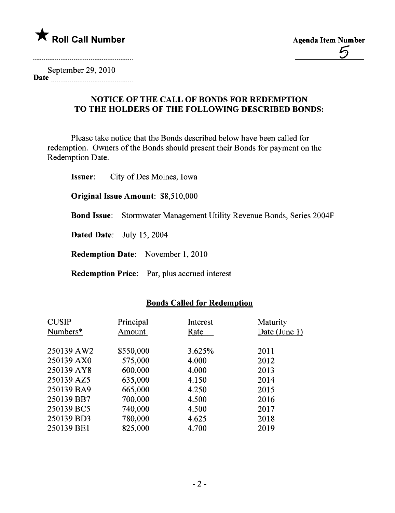

September 29,2010 Date <u>music music music music music</u>

## NOTICE OF THE CALL OF BONDS FOR REDEMPTION TO THE HOLDERS OF THE FOLLOWING DESCRIBED BONDS:

Please take notice that the Bonds described below have been called for redemption. Owners of the Bonds should present their Bonds for payment on the Redemption Date.

Issuer: City of Des Moines, Iowa Original Issue Amount: \$8,510,000 Bond Issue: Stormwater Management Utilty Revenue Bonds, Series 2004F Dated Date: July 15, 2004 Redemption Date: November 1, 2010

Redemption Price: Par, plus accrued interest

## Bonds Called for Redemption

| <b>CUSIP</b><br>Numbers* | Principal<br>Amount | Interest<br>Rate | Maturity<br>Date (June 1) |  |
|--------------------------|---------------------|------------------|---------------------------|--|
| 250139 AW2               | \$550,000           | 3.625%           | 2011                      |  |
| 250139 AX0               | 575,000             | 4.000            | 2012                      |  |
| 250139 AY8               | 600,000             | 4.000            | 2013                      |  |
| 250139 AZ5               | 635,000             | 4.150            | 2014                      |  |
| 250139 BA9               | 665,000             | 4.250            | 2015                      |  |
| 250139 BB7               | 700,000             | 4.500            | 2016                      |  |
| 250139 BC5               | 740,000             | 4.500            | 2017                      |  |
| 250139 BD3               | 780,000             | 4.625            | 2018                      |  |
| 250139 BE1               | 825,000             | 4.700            | 2019                      |  |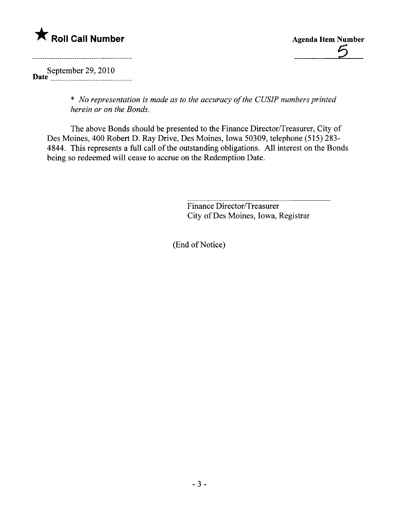



September 29,2010 Date \_ \_ \_ \_ \_ \_ \_ \_ \_ \_ \_ \_ \_ \_ \_ \_\_\_\_\_\_\_\_\_\_\_\_ \_\_\_\_\_ \_ \_ \_ \_ \_ \_ \_ \_ \_ \_\_\_

> \* No representation is made as to the accuracy of the CUSIP numbers printed herein or on the Bonds.

The above Bonds should be presented to the Finance Director/Treasurer, City of Des Moines, 400 Robert D. Ray Drive, Des Moines, Iowa 50309, telephone (515) 283- 4844. This represents a full call of the outstanding obligations. All interest on the Bonds being so redeemed will cease to accrue on the Redemption Date.

> Finance Director/Treasurer City of Des Moines, Iowa, Registrar

(End of Notice)